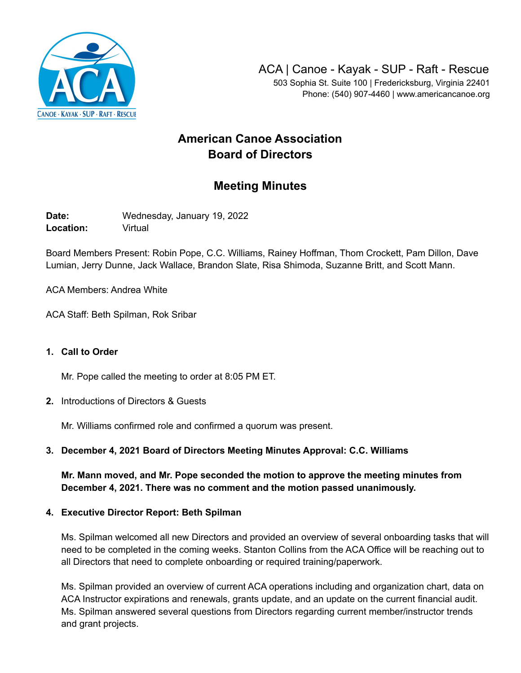

Phone: (540) 907-4460 | www.americancanoe.org

# **American Canoe Association Board of Directors**

## **Meeting Minutes**

**Date:** Wednesday, January 19, 2022 **Location:** Virtual

Board Members Present: Robin Pope, C.C. Williams, Rainey Hoffman, Thom Crockett, Pam Dillon, Dave Lumian, Jerry Dunne, Jack Wallace, Brandon Slate, Risa Shimoda, Suzanne Britt, and Scott Mann.

ACA Members: Andrea White

ACA Staff: Beth Spilman, Rok Sribar

#### **1. Call to Order**

Mr. Pope called the meeting to order at 8:05 PM ET.

**2.** Introductions of Directors & Guests

Mr. Williams confirmed role and confirmed a quorum was present.

## **3. December 4, 2021 Board of Directors Meeting Minutes Approval: C.C. Williams**

**Mr. Mann moved, and Mr. Pope seconded the motion to approve the meeting minutes from December 4, 2021. There was no comment and the motion passed unanimously.**

#### **4. Executive Director Report: Beth Spilman**

Ms. Spilman welcomed all new Directors and provided an overview of several onboarding tasks that will need to be completed in the coming weeks. Stanton Collins from the ACA Office will be reaching out to all Directors that need to complete onboarding or required training/paperwork.

Ms. Spilman provided an overview of current ACA operations including and organization chart, data on ACA Instructor expirations and renewals, grants update, and an update on the current financial audit. Ms. Spilman answered several questions from Directors regarding current member/instructor trends and grant projects.